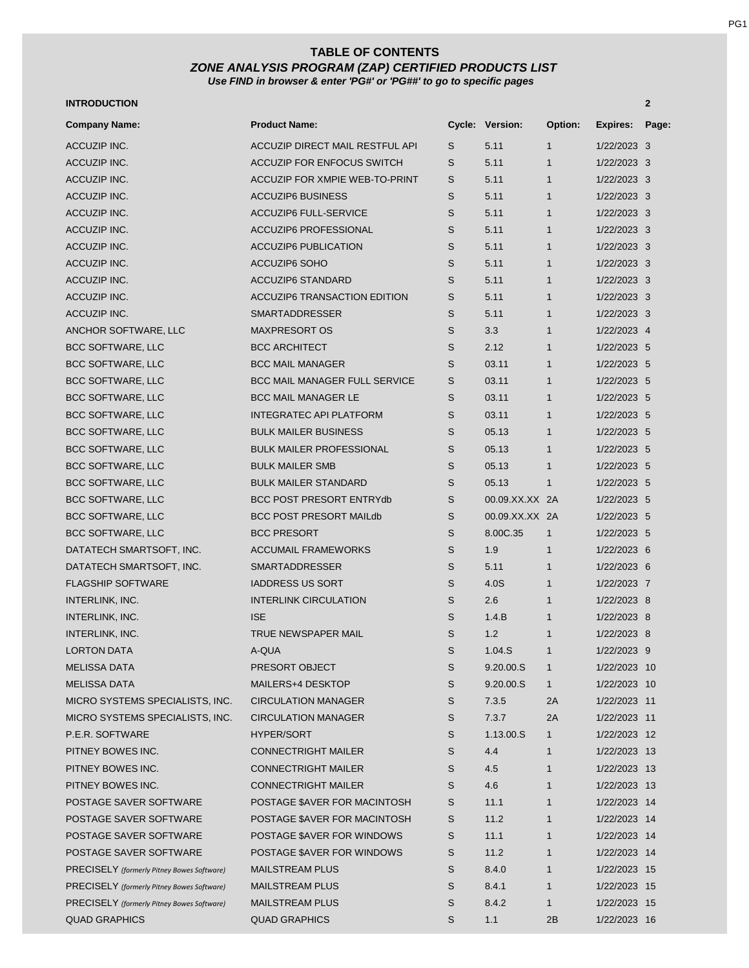### *ZONE ANALYSIS PROGRAM (ZAP) CERTIFIED PRODUCTS LIST Use FIND in browser & enter 'PG#' or 'PG##' to go to specific pages*  **TABLE OF CONTENTS**

#### **INTRODUCTION 2**

| <b>Company Name:</b>                                               | <b>Product Name:</b>                 |             | Cycle: Version: | Option:      | <b>Expires:</b> | Page: |
|--------------------------------------------------------------------|--------------------------------------|-------------|-----------------|--------------|-----------------|-------|
| ACCUZIP INC.                                                       | ACCUZIP DIRECT MAIL RESTFUL API      | S           | 5.11            | $\mathbf{1}$ | 1/22/2023 3     |       |
| ACCUZIP INC.                                                       | <b>ACCUZIP FOR ENFOCUS SWITCH</b>    | S           | 5.11            | $\mathbf{1}$ | 1/22/2023 3     |       |
| ACCUZIP INC.                                                       | ACCUZIP FOR XMPIE WEB-TO-PRINT       | S           | 5.11            | $\mathbf{1}$ | 1/22/2023 3     |       |
| ACCUZIP INC.                                                       | <b>ACCUZIP6 BUSINESS</b>             | S           | 5.11            | $\mathbf{1}$ | 1/22/2023 3     |       |
| ACCUZIP INC.                                                       | <b>ACCUZIP6 FULL-SERVICE</b>         | S           | 5.11            | $\mathbf{1}$ | 1/22/2023 3     |       |
| ACCUZIP INC.                                                       | <b>ACCUZIP6 PROFESSIONAL</b>         | S           | 5.11            | $\mathbf{1}$ | 1/22/2023 3     |       |
| ACCUZIP INC.                                                       | <b>ACCUZIP6 PUBLICATION</b>          | S           | 5.11            | $\mathbf{1}$ | 1/22/2023 3     |       |
| <b>ACCUZIP INC.</b>                                                | <b>ACCUZIP6 SOHO</b>                 | S           | 5.11            | $\mathbf{1}$ | 1/22/2023 3     |       |
| <b>ACCUZIP INC.</b>                                                | <b>ACCUZIP6 STANDARD</b>             | S           | 5.11            | $\mathbf{1}$ | 1/22/2023 3     |       |
| ACCUZIP INC.                                                       | <b>ACCUZIP6 TRANSACTION EDITION</b>  | S           | 5.11            | $\mathbf{1}$ | 1/22/2023 3     |       |
| ACCUZIP INC.                                                       | <b>SMARTADDRESSER</b>                | S           | 5.11            | $\mathbf{1}$ | 1/22/2023 3     |       |
| ANCHOR SOFTWARE, LLC                                               | <b>MAXPRESORT OS</b>                 | S           | 3.3             | $\mathbf{1}$ | 1/22/2023 4     |       |
| <b>BCC SOFTWARE, LLC</b>                                           | <b>BCC ARCHITECT</b>                 | S           | 2.12            | $\mathbf{1}$ | 1/22/2023 5     |       |
| <b>BCC SOFTWARE, LLC</b>                                           | <b>BCC MAIL MANAGER</b>              | S           | 03.11           | $\mathbf{1}$ | 1/22/2023 5     |       |
| <b>BCC SOFTWARE, LLC</b>                                           | <b>BCC MAIL MANAGER FULL SERVICE</b> | S           | 03.11           | $\mathbf{1}$ | 1/22/2023 5     |       |
| <b>BCC SOFTWARE, LLC</b>                                           | <b>BCC MAIL MANAGER LE</b>           | S           | 03.11           | $\mathbf{1}$ | 1/22/2023 5     |       |
| <b>BCC SOFTWARE, LLC</b>                                           | <b>INTEGRATEC API PLATFORM</b>       | S           | 03.11           | $\mathbf{1}$ | 1/22/2023 5     |       |
| <b>BCC SOFTWARE, LLC</b>                                           | <b>BULK MAILER BUSINESS</b>          | S           | 05.13           | $\mathbf{1}$ | 1/22/2023 5     |       |
| <b>BCC SOFTWARE, LLC</b>                                           | <b>BULK MAILER PROFESSIONAL</b>      | S           | 05.13           | $\mathbf{1}$ | 1/22/2023 5     |       |
| <b>BCC SOFTWARE, LLC</b>                                           | <b>BULK MAILER SMB</b>               | S           | 05.13           | $\mathbf{1}$ | 1/22/2023 5     |       |
| BCC SOFTWARE, LLC                                                  | <b>BULK MAILER STANDARD</b>          | S           | 05.13           | $\mathbf{1}$ | 1/22/2023 5     |       |
| <b>BCC SOFTWARE, LLC</b>                                           | <b>BCC POST PRESORT ENTRYdb</b>      | S           | 00.09.XX.XX 2A  |              | 1/22/2023 5     |       |
| <b>BCC SOFTWARE, LLC</b>                                           | <b>BCC POST PRESORT MAILdb</b>       | S           | 00.09.XX.XX 2A  |              | 1/22/2023 5     |       |
| <b>BCC SOFTWARE, LLC</b>                                           | <b>BCC PRESORT</b>                   | S           | 8.00C.35        | $\mathbf{1}$ | 1/22/2023 5     |       |
| DATATECH SMARTSOFT, INC.                                           | <b>ACCUMAIL FRAMEWORKS</b>           | S           | 1.9             | $\mathbf{1}$ | 1/22/2023 6     |       |
| DATATECH SMARTSOFT, INC.                                           | <b>SMARTADDRESSER</b>                | S           | 5.11            | $\mathbf{1}$ | 1/22/2023 6     |       |
| <b>FLAGSHIP SOFTWARE</b>                                           | <b>IADDRESS US SORT</b>              | S           | 4.0S            | $\mathbf{1}$ | 1/22/2023 7     |       |
| INTERLINK, INC.                                                    | <b>INTERLINK CIRCULATION</b>         | S           | 2.6             | $\mathbf{1}$ | 1/22/2023 8     |       |
| INTERLINK, INC.                                                    | <b>ISE</b>                           | S           | 1.4.B           | $\mathbf{1}$ | 1/22/2023 8     |       |
| INTERLINK, INC.                                                    | <b>TRUE NEWSPAPER MAIL</b>           | S           | 1.2             | $\mathbf{1}$ | 1/22/2023 8     |       |
| <b>LORTON DATA</b>                                                 | A-QUA                                | S           | 1.04.S          | $\mathbf{1}$ | 1/22/2023 9     |       |
| <b>MELISSA DATA</b>                                                | PRESORT OBJECT                       | S           | 9.20.00.S       | 1            | 1/22/2023 10    |       |
| <b>MELISSA DATA</b>                                                | MAILERS+4 DESKTOP                    | S           | 9.20.00.S       | $\mathbf{1}$ | 1/22/2023 10    |       |
| MICRO SYSTEMS SPECIALISTS, INC.                                    | <b>CIRCULATION MANAGER</b>           | S           | 7.3.5           | 2A           | 1/22/2023 11    |       |
| MICRO SYSTEMS SPECIALISTS, INC.                                    | <b>CIRCULATION MANAGER</b>           | $\mathsf S$ | 7.3.7           | 2A           | 1/22/2023 11    |       |
| P.E.R. SOFTWARE                                                    | <b>HYPER/SORT</b>                    | S           | 1.13.00.S       | $\mathbf{1}$ | 1/22/2023 12    |       |
| PITNEY BOWES INC.                                                  | <b>CONNECTRIGHT MAILER</b>           | S           | 4.4             | $\mathbf{1}$ | 1/22/2023 13    |       |
| PITNEY BOWES INC.                                                  | <b>CONNECTRIGHT MAILER</b>           | S           | 4.5             | $\mathbf{1}$ | 1/22/2023 13    |       |
| PITNEY BOWES INC.                                                  | <b>CONNECTRIGHT MAILER</b>           | S           | 4.6             | $\mathbf{1}$ | 1/22/2023 13    |       |
| POSTAGE SAVER SOFTWARE                                             | POSTAGE \$AVER FOR MACINTOSH         | S           | 11.1            | $\mathbf{1}$ | 1/22/2023 14    |       |
| POSTAGE SAVER SOFTWARE                                             | POSTAGE \$AVER FOR MACINTOSH         | S           | 11.2            | $\mathbf{1}$ | 1/22/2023 14    |       |
| POSTAGE SAVER SOFTWARE                                             | POSTAGE \$AVER FOR WINDOWS           | S           | 11.1            | $\mathbf{1}$ | 1/22/2023 14    |       |
| POSTAGE SAVER SOFTWARE                                             | POSTAGE \$AVER FOR WINDOWS           | S           | 11.2            | $\mathbf{1}$ | 1/22/2023 14    |       |
| PRECISELY (formerly Pitney Bowes Software)                         | <b>MAILSTREAM PLUS</b>               | S           | 8.4.0           | $\mathbf{1}$ | 1/22/2023 15    |       |
| PRECISELY (formerly Pitney Bowes Software)                         | <b>MAILSTREAM PLUS</b>               | $\mathsf S$ | 8.4.1           | $\mathbf{1}$ | 1/22/2023 15    |       |
|                                                                    | <b>MAILSTREAM PLUS</b>               | S           | 8.4.2           | 1            | 1/22/2023 15    |       |
| PRECISELY (formerly Pitney Bowes Software)<br><b>QUAD GRAPHICS</b> | <b>QUAD GRAPHICS</b>                 | $\mathsf S$ | 1.1             | 2B           | 1/22/2023 16    |       |
|                                                                    |                                      |             |                 |              |                 |       |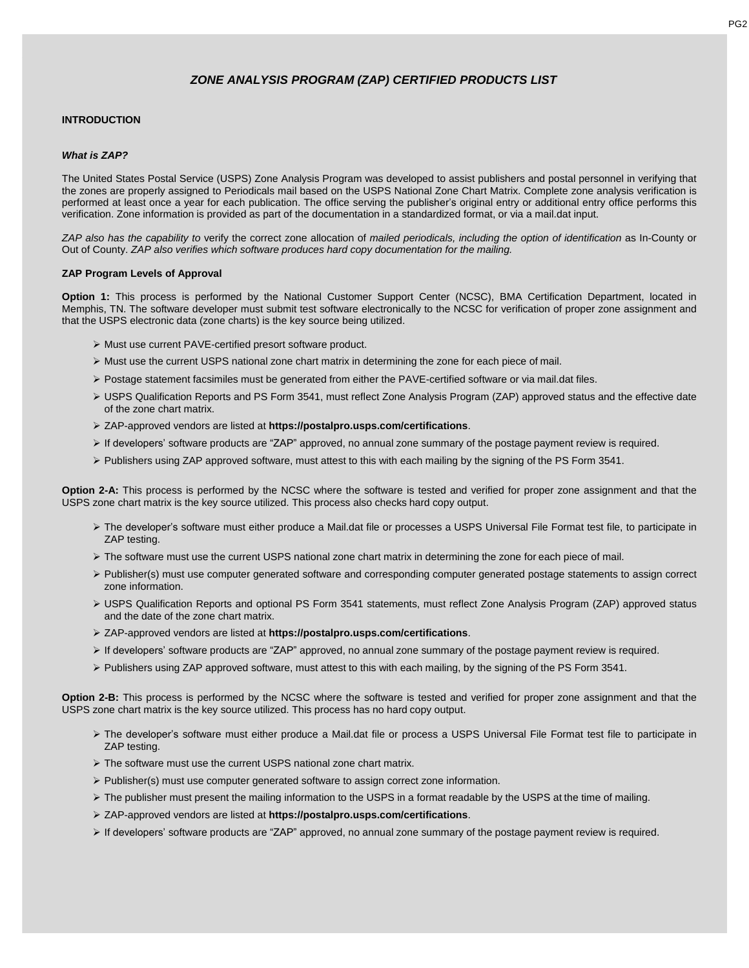### **INTRODUCTION**

#### *What is ZAP?*

The United States Postal Service (USPS) Zone Analysis Program was developed to assist publishers and postal personnel in verifying that the zones are properly assigned to Periodicals mail based on the USPS National Zone Chart Matrix. Complete zone analysis verification is performed at least once a year for each publication. The office serving the publisher's original entry or additional entry office performs this verification. Zone information is provided as part of the documentation in a standardized format, or via a mail.dat input.

ZAP also has the capability to verify the correct zone allocation of mailed periodicals, including the option of identification as In-County or Out of County. *ZAP also verifies which software produces hard copy documentation for the mailing.*

#### **ZAP Program Levels of Approval**

**Option 1:** This process is performed by the National Customer Support Center (NCSC), BMA Certification Department, located in Memphis, TN. The software developer must submit test software electronically to the NCSC for verification of proper zone assignment and that the USPS electronic data (zone charts) is the key source being utilized.

- ➢ Must use current PAVE-certified presort software product.
- ➢ Must use the current USPS national zone chart matrix in determining the zone for each piece of mail.
- ➢ Postage statement facsimiles must be generated from either the PAVE-certified software or via mail.dat files.
- ➢ USPS Qualification Reports and PS Form 3541, must reflect Zone Analysis Program (ZAP) approved status and the effective date of the zone chart matrix.
- ➢ ZAP-approved vendors are listed at **https://postalpro.usps.com/certifications**.
- ➢ If developers' software products are "ZAP" approved, no annual zone summary of the postage payment review is required.
- ➢ Publishers using ZAP approved software, must attest to this with each mailing by the signing of the PS Form 3541.

**Option 2-A:** This process is performed by the NCSC where the software is tested and verified for proper zone assignment and that the USPS zone chart matrix is the key source utilized. This process also checks hard copy output.

- ➢ The developer's software must either produce a Mail.dat file or processes a USPS Universal File Format test file, to participate in ZAP testing.
- ➢ The software must use the current USPS national zone chart matrix in determining the zone for each piece of mail.
- ➢ Publisher(s) must use computer generated software and corresponding computer generated postage statements to assign correct zone information.
- ➢ USPS Qualification Reports and optional PS Form 3541 statements, must reflect Zone Analysis Program (ZAP) approved status and the date of the zone chart matrix.
- ➢ ZAP-approved vendors are listed at **https://postalpro.usps.com/certifications**.
- ➢ If developers' software products are "ZAP" approved, no annual zone summary of the postage payment review is required.
- ➢ Publishers using ZAP approved software, must attest to this with each mailing, by the signing of the PS Form 3541.

**Option 2-B:** This process is performed by the NCSC where the software is tested and verified for proper zone assignment and that the USPS zone chart matrix is the key source utilized. This process has no hard copy output.

- ➢ The developer's software must either produce a Mail.dat file or process a USPS Universal File Format test file to participate in ZAP testing.
- ➢ The software must use the current USPS national zone chart matrix.
- ➢ Publisher(s) must use computer generated software to assign correct zone information.
- ➢ The publisher must present the mailing information to the USPS in a format readable by the USPS at the time of mailing.
- ➢ ZAP-approved vendors are listed at **https://postalpro.usps.com/certifications**.
- ➢ If developers' software products are "ZAP" approved, no annual zone summary of the postage payment review is required.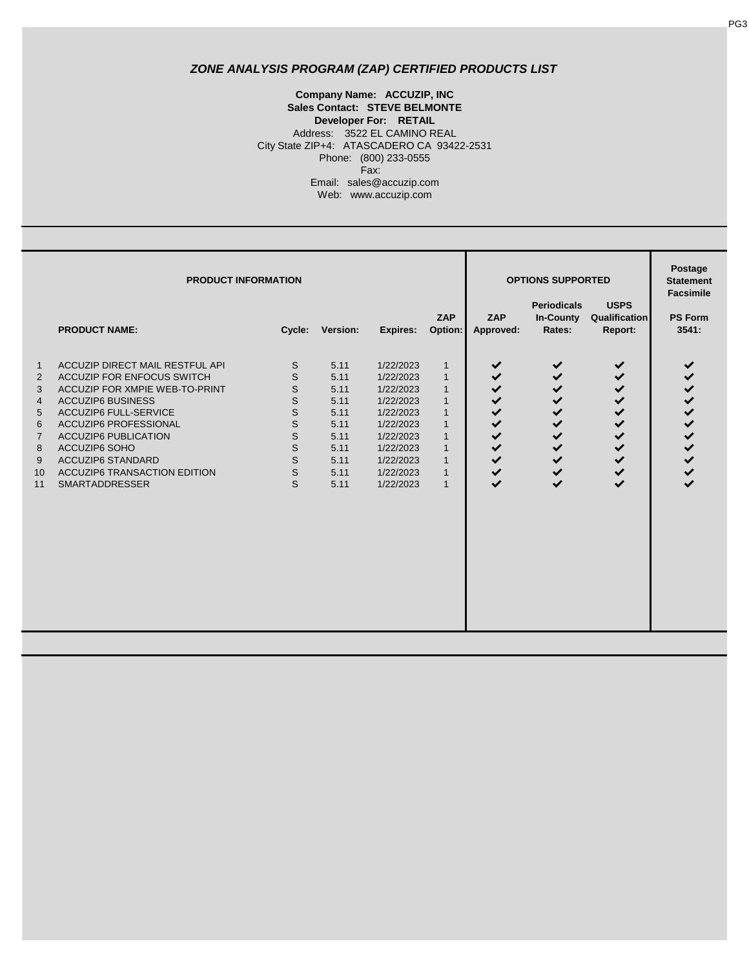City State ZIP+4: ATASCADERO CA 93422-2531 Phone: (800) 233-0555 Fax: **Sales Contact: STEVE BELMONTE Developer For: RETAIL** Address: 3522 EL CAMINO REAL **Company Name: ACCUZIP, INC** Email: sales@accuzip.com Web: www.accuzip.com

|                                                                  | <b>PRODUCT INFORMATION</b>                                                                                                                                                                                                                                                                                                                            |                                                     | <b>OPTIONS SUPPORTED</b>                                                             | Postage<br><b>Statement</b><br><b>Facsimile</b>                                                                                             |                                                                                                                                                                              |                                                                                                                                                                            |                                                                                                                                                   |                                                                                                                                        |                                                                                                   |
|------------------------------------------------------------------|-------------------------------------------------------------------------------------------------------------------------------------------------------------------------------------------------------------------------------------------------------------------------------------------------------------------------------------------------------|-----------------------------------------------------|--------------------------------------------------------------------------------------|---------------------------------------------------------------------------------------------------------------------------------------------|------------------------------------------------------------------------------------------------------------------------------------------------------------------------------|----------------------------------------------------------------------------------------------------------------------------------------------------------------------------|---------------------------------------------------------------------------------------------------------------------------------------------------|----------------------------------------------------------------------------------------------------------------------------------------|---------------------------------------------------------------------------------------------------|
|                                                                  | <b>PRODUCT NAME:</b>                                                                                                                                                                                                                                                                                                                                  | Cycle:                                              | Version:                                                                             | Expires:                                                                                                                                    | ZAP<br>Option:                                                                                                                                                               | ZAP<br>Approved:                                                                                                                                                           | <b>Periodicals</b><br><b>In-County</b><br>Rates:                                                                                                  | <b>USPS</b><br>Qualification<br>Report:                                                                                                | <b>PS Form</b><br>3541:                                                                           |
| $\mathbf{1}$<br>2<br>3<br>4<br>5<br>6<br>7<br>8<br>9<br>10<br>11 | <b>ACCUZIP DIRECT MAIL RESTFUL API</b><br><b>ACCUZIP FOR ENFOCUS SWITCH</b><br>ACCUZIP FOR XMPIE WEB-TO-PRINT<br><b>ACCUZIP6 BUSINESS</b><br><b>ACCUZIP6 FULL-SERVICE</b><br><b>ACCUZIP6 PROFESSIONAL</b><br><b>ACCUZIP6 PUBLICATION</b><br>ACCUZIP6 SOHO<br><b>ACCUZIP6 STANDARD</b><br><b>ACCUZIP6 TRANSACTION EDITION</b><br><b>SMARTADDRESSER</b> | S<br>S<br>S<br>S<br>S<br>S<br>S<br>S<br>S<br>S<br>S | 5.11<br>5.11<br>5.11<br>5.11<br>5.11<br>5.11<br>5.11<br>5.11<br>5.11<br>5.11<br>5.11 | 1/22/2023<br>1/22/2023<br>1/22/2023<br>1/22/2023<br>1/22/2023<br>1/22/2023<br>1/22/2023<br>1/22/2023<br>1/22/2023<br>1/22/2023<br>1/22/2023 | $\mathbf{1}$<br>$\mathbf{1}$<br>$\mathbf{1}$<br>$\mathbf{1}$<br>$\mathbf{1}$<br>$\mathbf{1}$<br>$\mathbf{1}$<br>$\mathbf{1}$<br>$\mathbf{1}$<br>$\mathbf{1}$<br>$\mathbf{1}$ | $\checkmark$<br>$\checkmark$<br>$\checkmark$<br>✔<br>$\checkmark$<br>$\checkmark$<br>$\checkmark$<br>$\checkmark$<br>$\checkmark$<br>$\checkmark$<br>$\blacktriangleright$ | $\checkmark$<br>$\checkmark$<br>✔<br>$\checkmark$<br>$\checkmark$<br>$\checkmark$<br>$\checkmark$<br>$\checkmark$<br>$\checkmark$<br>$\checkmark$ | ✔<br>$\checkmark$<br>$\checkmark$<br>✔<br>$\checkmark$<br>$\checkmark$<br>$\checkmark$<br>$\checkmark$<br>$\checkmark$<br>$\checkmark$ | ✔<br>$\checkmark$<br>$\checkmark$<br>$\checkmark$<br>$\checkmark$<br>$\checkmark$<br>$\checkmark$ |

PG3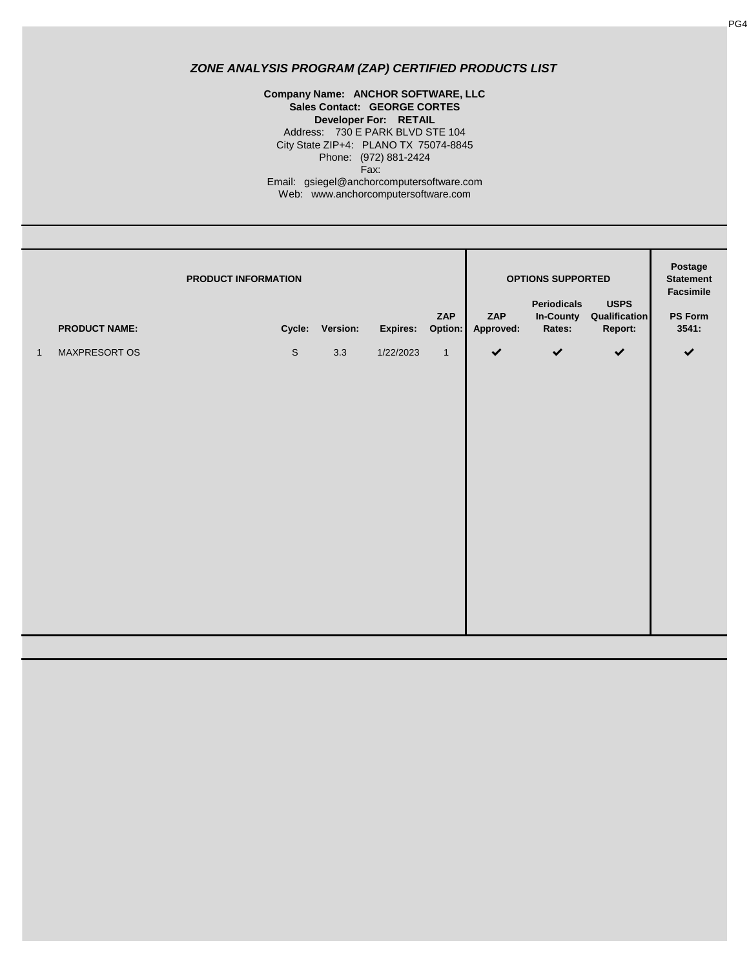Address: 730 E PARK BLVD STE 104 City State ZIP+4: PLANO TX 75074-8845 Phone: (972) 881-2424 **Company Name: ANCHOR SOFTWARE, LLC Sales Contact: GEORGE CORTES Developer For: RETAIL** Fax: Email: gsiegel@anchorcomputersoftware.com Web: www.anchorcomputersoftware.com

|              | PRODUCT INFORMATION<br><b>PRODUCT NAME:</b> |             | Cycle: Version: | Expires:  | ZAP<br>Option: | ZAP<br>Approved: | <b>OPTIONS SUPPORTED</b><br>Periodicals<br>In-County<br>Rates: | <b>USPS</b><br>Qualification<br>Report: | Postage<br><b>Statement</b><br>Facsimile<br><b>PS Form</b><br>3541: |
|--------------|---------------------------------------------|-------------|-----------------|-----------|----------------|------------------|----------------------------------------------------------------|-----------------------------------------|---------------------------------------------------------------------|
| $\mathbf{1}$ | MAXPRESORT OS                               | $\mathbb S$ | 3.3             | 1/22/2023 | $\mathbf{1}$   | $\checkmark$     | $\checkmark$                                                   | $\checkmark$                            | $\checkmark$                                                        |
|              |                                             |             |                 |           |                |                  |                                                                |                                         |                                                                     |
|              |                                             |             |                 |           |                |                  |                                                                |                                         |                                                                     |
|              |                                             |             |                 |           |                |                  |                                                                |                                         |                                                                     |
|              |                                             |             |                 |           |                |                  |                                                                |                                         |                                                                     |
|              |                                             |             |                 |           |                |                  |                                                                |                                         |                                                                     |
|              |                                             |             |                 |           |                |                  |                                                                |                                         |                                                                     |
|              |                                             |             |                 |           |                |                  |                                                                |                                         |                                                                     |
|              |                                             |             |                 |           |                |                  |                                                                |                                         |                                                                     |
|              |                                             |             |                 |           |                |                  |                                                                |                                         |                                                                     |
|              |                                             |             |                 |           |                |                  |                                                                |                                         |                                                                     |
|              |                                             |             |                 |           |                |                  |                                                                |                                         |                                                                     |
|              |                                             |             |                 |           |                |                  |                                                                |                                         |                                                                     |
|              |                                             |             |                 |           |                |                  |                                                                |                                         |                                                                     |
|              |                                             |             |                 |           |                |                  |                                                                |                                         |                                                                     |
|              |                                             |             |                 |           |                |                  |                                                                |                                         |                                                                     |
|              |                                             |             |                 |           |                |                  |                                                                |                                         |                                                                     |
|              |                                             |             |                 |           |                |                  |                                                                |                                         |                                                                     |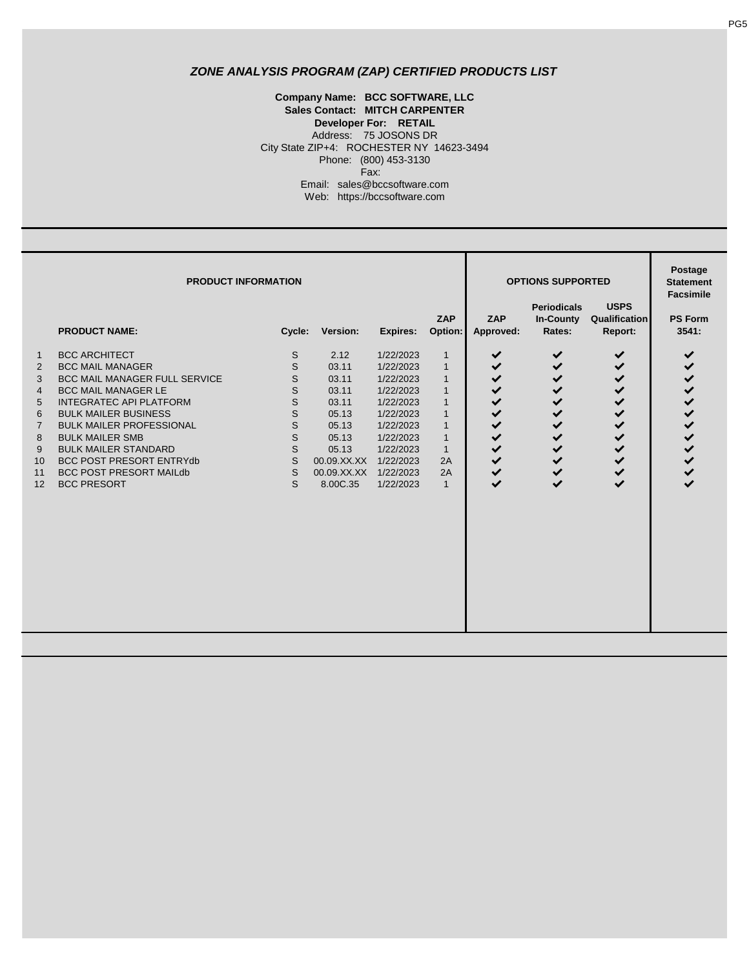**Sales Contact: MITCH CARPENTER Developer For: RETAIL** Address: 75 JOSONS DR **Company Name: BCC SOFTWARE, LLC** Email: sales@bccsoftware.com Web: https://bccsoftware.com City State ZIP+4: ROCHESTER NY 14623-3494 Phone: (800) 453-3130 Fax:

|                                                                                     | <b>PRODUCT INFORMATION</b>                                                                                                                                                                                                                                                                                                                                             |                                                                      | <b>OPTIONS SUPPORTED</b>                                                                                               | Postage<br><b>Statement</b><br><b>Facsimile</b>                                                                                                          |                                                                                                                                                                          |                                                                                                                                       |                                                                                                                 |                                                                                                                            |                                                                                                                  |
|-------------------------------------------------------------------------------------|------------------------------------------------------------------------------------------------------------------------------------------------------------------------------------------------------------------------------------------------------------------------------------------------------------------------------------------------------------------------|----------------------------------------------------------------------|------------------------------------------------------------------------------------------------------------------------|----------------------------------------------------------------------------------------------------------------------------------------------------------|--------------------------------------------------------------------------------------------------------------------------------------------------------------------------|---------------------------------------------------------------------------------------------------------------------------------------|-----------------------------------------------------------------------------------------------------------------|----------------------------------------------------------------------------------------------------------------------------|------------------------------------------------------------------------------------------------------------------|
|                                                                                     | <b>PRODUCT NAME:</b>                                                                                                                                                                                                                                                                                                                                                   | Cycle:                                                               | Version:                                                                                                               | <b>Expires:</b>                                                                                                                                          | <b>ZAP</b><br>Option:                                                                                                                                                    | ZAP<br>Approved:                                                                                                                      | <b>Periodicals</b><br><b>In-County</b><br>Rates:                                                                | <b>USPS</b><br>Qualification<br>Report:                                                                                    | <b>PS Form</b><br>3541:                                                                                          |
| $\mathbf{1}$<br>2<br>3<br>$\overline{4}$<br>5<br>6<br>7<br>8<br>9<br>10<br>11<br>12 | <b>BCC ARCHITECT</b><br><b>BCC MAIL MANAGER</b><br><b>BCC MAIL MANAGER FULL SERVICE</b><br><b>BCC MAIL MANAGER LE</b><br><b>INTEGRATEC API PLATFORM</b><br><b>BULK MAILER BUSINESS</b><br><b>BULK MAILER PROFESSIONAL</b><br><b>BULK MAILER SMB</b><br><b>BULK MAILER STANDARD</b><br>BCC POST PRESORT ENTRYdb<br><b>BCC POST PRESORT MAILED</b><br><b>BCC PRESORT</b> | S<br>S<br>S<br>S<br>S<br>S<br>S<br>$\mathsf{S}$<br>S<br>S<br>S<br>S. | 2.12<br>03.11<br>03.11<br>03.11<br>03.11<br>05.13<br>05.13<br>05.13<br>05.13<br>00.09.XX.XX<br>00.09.XX.XX<br>8.00C.35 | 1/22/2023<br>1/22/2023<br>1/22/2023<br>1/22/2023<br>1/22/2023<br>1/22/2023<br>1/22/2023<br>1/22/2023<br>1/22/2023<br>1/22/2023<br>1/22/2023<br>1/22/2023 | $\mathbf{1}$<br>$\mathbf{1}$<br>$\mathbf{1}$<br>$\mathbf{1}$<br>$\mathbf{1}$<br>$\mathbf{1}$<br>$\mathbf{1}$<br>$\mathbf{1}$<br>$\mathbf{1}$<br>2A<br>2A<br>$\mathbf{1}$ | ✔<br>✔<br>✔<br>✔<br>$\checkmark$<br>✔<br>$\checkmark$<br>$\checkmark$<br>$\checkmark$<br>$\checkmark$<br>$\checkmark$<br>$\checkmark$ | ✔<br>✔<br>✔<br>✔<br>$\checkmark$<br>✔<br>✔<br>$\checkmark$<br>$\checkmark$<br>✔<br>$\checkmark$<br>$\checkmark$ | ✔<br>✔<br>✔<br>$\checkmark$<br>$\checkmark$<br>✔<br>✔<br>$\checkmark$<br>$\checkmark$<br>$\checkmark$<br>✔<br>$\checkmark$ | ✔<br>$\checkmark$<br>✔<br>$\checkmark$<br>✔<br>✔<br>$\checkmark$<br>$\checkmark$<br>$\checkmark$<br>$\checkmark$ |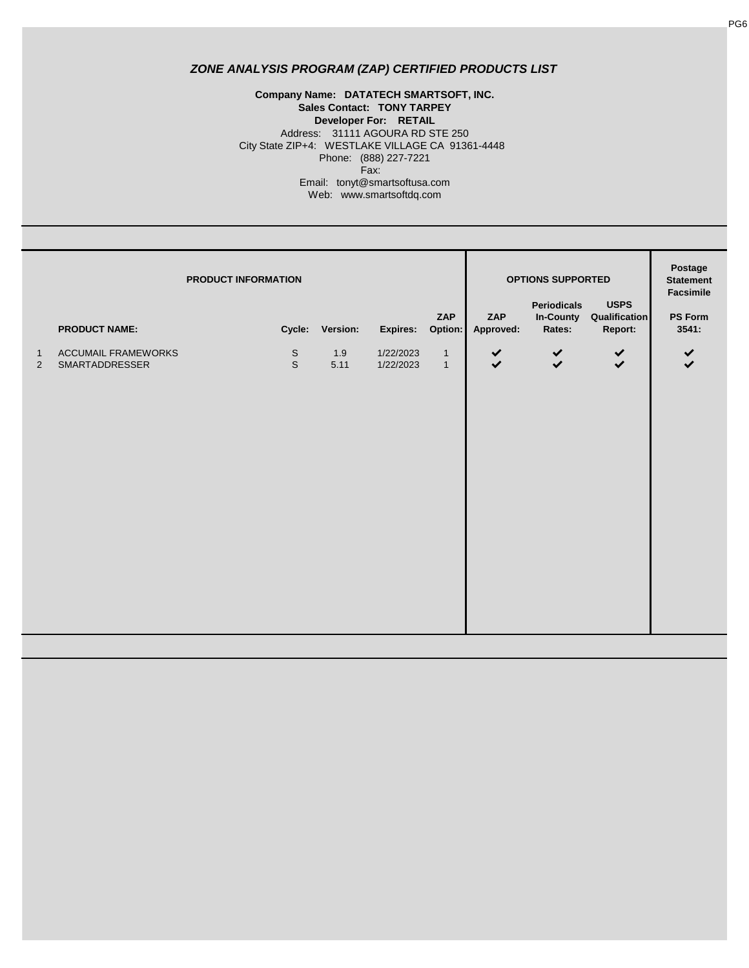#### **Company Name: DATATECH SMARTSOFT, INC. Sales Contact: TONY TARPEY Developer For: RETAIL** Address: 31111 AGOURA RD STE 250 City State ZIP+4: WESTLAKE VILLAGE CA 91361-4448 Phone: (888) 227-7221 Fax: Email: tonyt@smartsoftusa.com Web: www.smartsoftdq.com

|                                |                                              | PRODUCT INFORMATION                       |                                                          |                  | OPTIONS SUPPORTED<br>Periodicals | <b>USPS</b>                        | Postage<br><b>Statement</b><br>Facsimile |
|--------------------------------|----------------------------------------------|-------------------------------------------|----------------------------------------------------------|------------------|----------------------------------|------------------------------------|------------------------------------------|
|                                | <b>PRODUCT NAME:</b>                         | Cycle: Version:                           | ZAP<br>Option:<br>Expires:                               | ZAP<br>Approved: | Rates:                           | In-County Qualification<br>Report: | PS Form<br>3541:                         |
| $\mathbf{1}$<br>$\overline{2}$ | <b>ACCUMAIL FRAMEWORKS</b><br>SMARTADDRESSER | $\mathbb S$<br>1.9<br>$\mathbb S$<br>5.11 | 1/22/2023<br>$\mathbf{1}$<br>1/22/2023<br>$\overline{1}$ | $\checkmark$     | $\checkmark$                     | $\checkmark$                       | $\checkmark$<br>$\checkmark$             |
|                                |                                              |                                           |                                                          |                  |                                  |                                    |                                          |
|                                |                                              |                                           |                                                          |                  |                                  |                                    |                                          |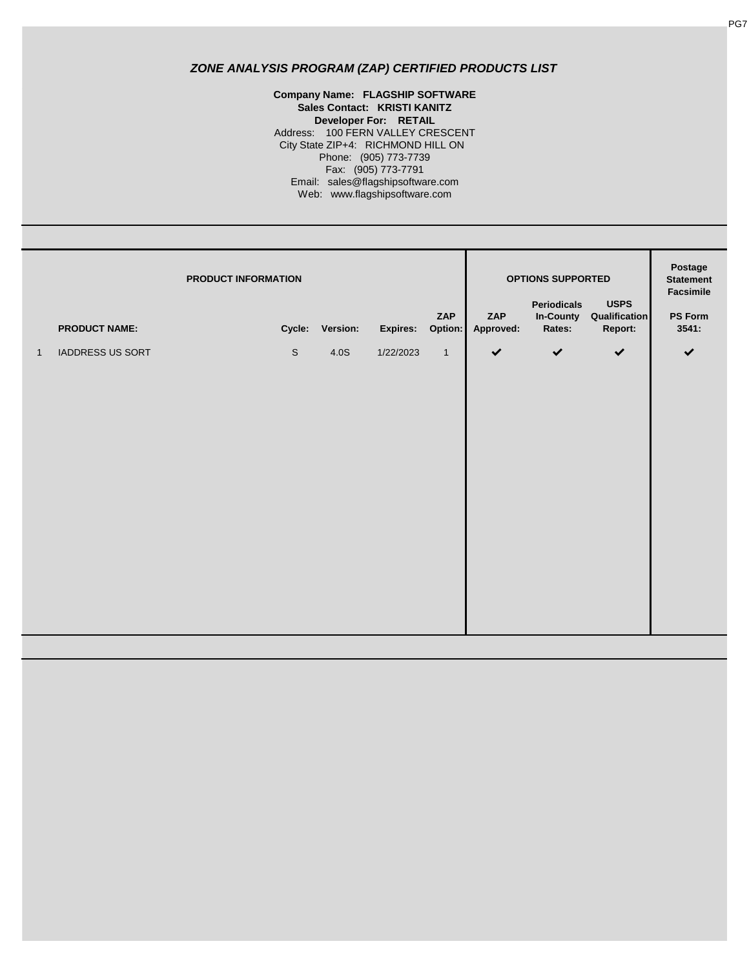**Company Name: FLAGSHIP SOFTWARE Sales Contact: KRISTI KANITZ Developer For: RETAIL** Fax: (905) 773-7791 Email: sales@flagshipsoftware.com Web: www.flagshipsoftware.com Address: 100 FERN VALLEY CRESCENT City State ZIP+4: RICHMOND HILL ON Phone: (905) 773-7739

|              | PRODUCT INFORMATION  |             |                 |           | ZAP          | ZAP          | OPTIONS SUPPORTED<br><b>Periodicals</b><br>In-County | <b>USPS</b><br>Qualification | Postage<br><b>Statement</b><br>Facsimile<br>PS Form |
|--------------|----------------------|-------------|-----------------|-----------|--------------|--------------|------------------------------------------------------|------------------------------|-----------------------------------------------------|
|              | <b>PRODUCT NAME:</b> |             | Cycle: Version: | Expires:  | Option:      | Approved:    | Rates:                                               | Report:                      | 3541:                                               |
| $\mathbf{1}$ | IADDRESS US SORT     | $\mathbb S$ | 4.0S            | 1/22/2023 | $\mathbf{1}$ | $\checkmark$ | $\checkmark$                                         | $\checkmark$                 | $\checkmark$                                        |
|              |                      |             |                 |           |              |              |                                                      |                              |                                                     |
|              |                      |             |                 |           |              |              |                                                      |                              |                                                     |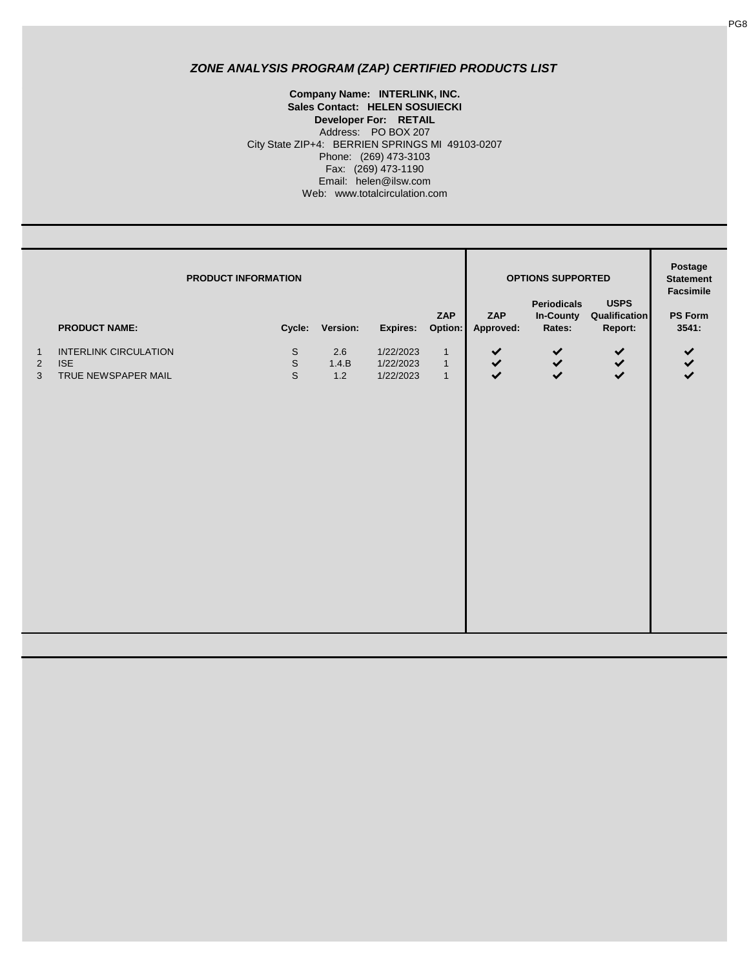#### **Company Name: INTERLINK, INC. Sales Contact: HELEN SOSUIECKI** Web: www.totalcirculation.com Phone: (269) 473-3103 Fax: (269) 473-1190 Email: helen@ilsw.com **Developer For: RETAIL** Address: PO BOX 207 City State ZIP+4: BERRIEN SPRINGS MI 49103-0207

|                                       | <b>PRODUCT NAME:</b>                                              | PRODUCT INFORMATION |                                           | Cycle: Version:         | Expires: Option:                    | ZAP                                            | ZAP<br>Approved:             | <b>OPTIONS SUPPORTED</b><br><b>Periodicals</b><br>In-County<br>Rates: | <b>USPS</b><br>Qualification<br>Report: | Postage<br><b>Statement</b><br>Facsimile<br><b>PS Form</b><br>3541: |
|---------------------------------------|-------------------------------------------------------------------|---------------------|-------------------------------------------|-------------------------|-------------------------------------|------------------------------------------------|------------------------------|-----------------------------------------------------------------------|-----------------------------------------|---------------------------------------------------------------------|
| $\overline{1}$<br>$\overline{2}$<br>3 | <b>INTERLINK CIRCULATION</b><br><b>ISE</b><br>TRUE NEWSPAPER MAIL |                     | $\mathbb S$<br>$\mathbb S$<br>$\mathbb S$ | $2.6\,$<br>1.4.B<br>1.2 | 1/22/2023<br>1/22/2023<br>1/22/2023 | $\mathbf{1}$<br>$\overline{1}$<br>$\mathbf{1}$ | $\checkmark$<br>$\checkmark$ | $\checkmark$<br>$\checkmark$                                          | $\checkmark$<br>$\checkmark$            | $\checkmark$<br>$\checkmark$                                        |
|                                       |                                                                   |                     |                                           |                         |                                     |                                                |                              |                                                                       |                                         |                                                                     |
|                                       |                                                                   |                     |                                           |                         |                                     |                                                |                              |                                                                       |                                         |                                                                     |
|                                       |                                                                   |                     |                                           |                         |                                     |                                                |                              |                                                                       |                                         |                                                                     |
|                                       |                                                                   |                     |                                           |                         |                                     |                                                |                              |                                                                       |                                         |                                                                     |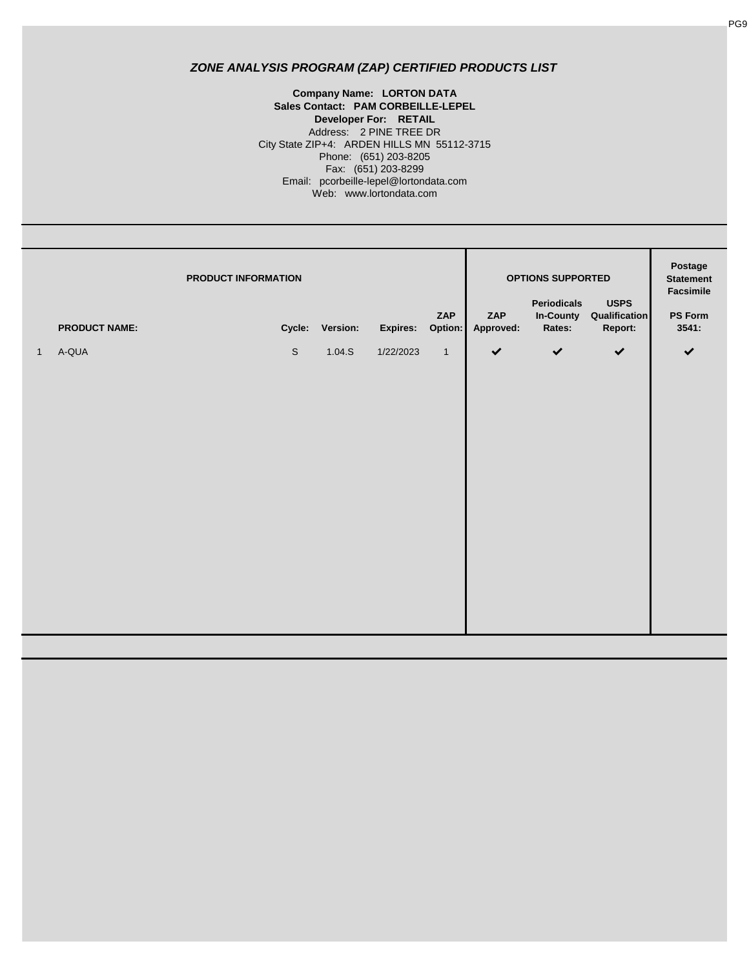**Company Name: LORTON DATA** Email: pcorbeille-lepel@lortondata.com Web: www.lortondata.com City State ZIP+4: ARDEN HILLS MN 55112-3715 Phone: (651) 203-8205 Fax: (651) 203-8299 **Sales Contact: PAM CORBEILLE-LEPEL Developer For: RETAIL** Address: 2 PINE TREE DR

|              | PRODUCT INFORMATION<br><b>PRODUCT NAME:</b> |             | Cycle: Version: | Expires:  | ZAP<br>Option: | ZAP<br>Approved: | <b>OPTIONS SUPPORTED</b><br><b>Periodicals</b><br>In-County<br>Rates: | <b>USPS</b><br>Qualification<br>Report: | Postage<br><b>Statement</b><br>Facsimile<br><b>PS Form</b><br>3541: |
|--------------|---------------------------------------------|-------------|-----------------|-----------|----------------|------------------|-----------------------------------------------------------------------|-----------------------------------------|---------------------------------------------------------------------|
| $\mathbf{1}$ | A-QUA                                       | $\mathbb S$ | 1.04.S          | 1/22/2023 | $\mathbf{1}$   | $\checkmark$     | $\checkmark$                                                          | $\checkmark$                            | $\checkmark$                                                        |
|              |                                             |             |                 |           |                |                  |                                                                       |                                         |                                                                     |
|              |                                             |             |                 |           |                |                  |                                                                       |                                         |                                                                     |
|              |                                             |             |                 |           |                |                  |                                                                       |                                         |                                                                     |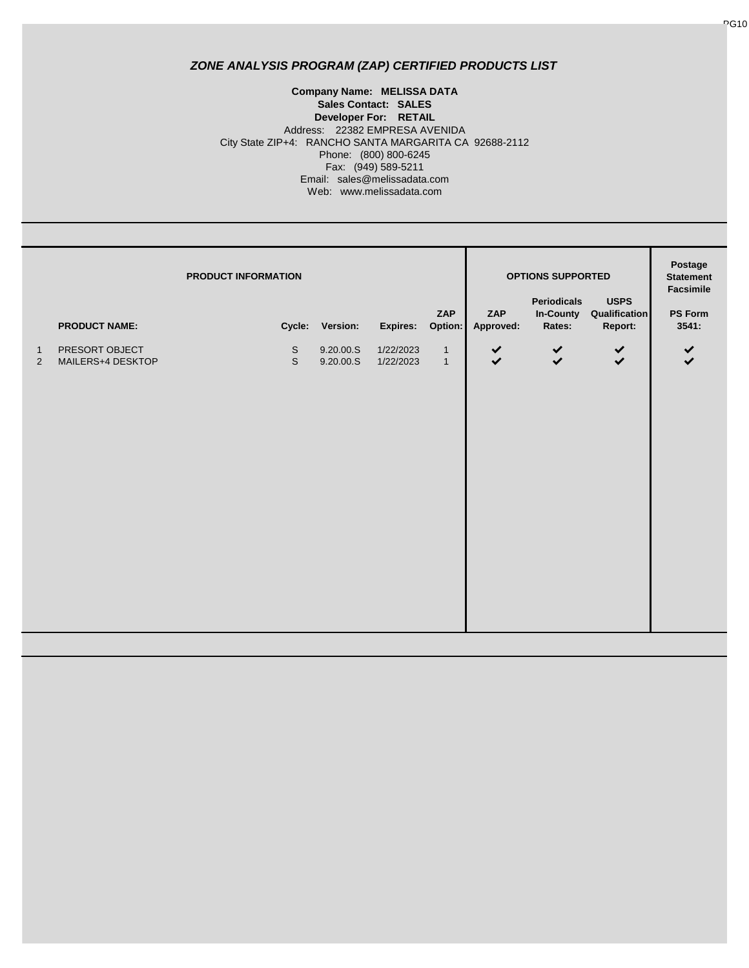#### Fax: (949) 589-5211 Email: sales@melissadata.com Web: www.melissadata.com Address: 22382 EMPRESA AVENIDA City State ZIP+4: RANCHO SANTA MARGARITA CA 92688-2112 Phone: (800) 800-6245 **Company Name: MELISSA DATA Sales Contact: SALES Developer For: RETAIL**

|                            | <b>PRODUCT INFORMATION</b><br><b>PRODUCT NAME:</b> |                            | Cycle: Version:        | Expires:               | ZAP<br>Option:               | ZAP<br>Approved: | OPTIONS SUPPORTED<br>Periodicals<br>Rates: | <b>USPS</b><br>In-County Qualification<br>Report: | Postage<br><b>Statement</b><br>Facsimile<br>PS Form<br>3541: |
|----------------------------|----------------------------------------------------|----------------------------|------------------------|------------------------|------------------------------|------------------|--------------------------------------------|---------------------------------------------------|--------------------------------------------------------------|
| $\mathbf{1}$<br>$\sqrt{2}$ | PRESORT OBJECT<br>MAILERS+4 DESKTOP                | $\mathbb S$<br>$\mathbb S$ | 9.20.00.S<br>9.20.00.S | 1/22/2023<br>1/22/2023 | $\mathbf{1}$<br>$\mathbf{1}$ | $\checkmark$     | $\checkmark$                               | $\checkmark$<br>$\checkmark$                      | $\checkmark$<br>$\checkmark$                                 |
|                            |                                                    |                            |                        |                        |                              |                  |                                            |                                                   |                                                              |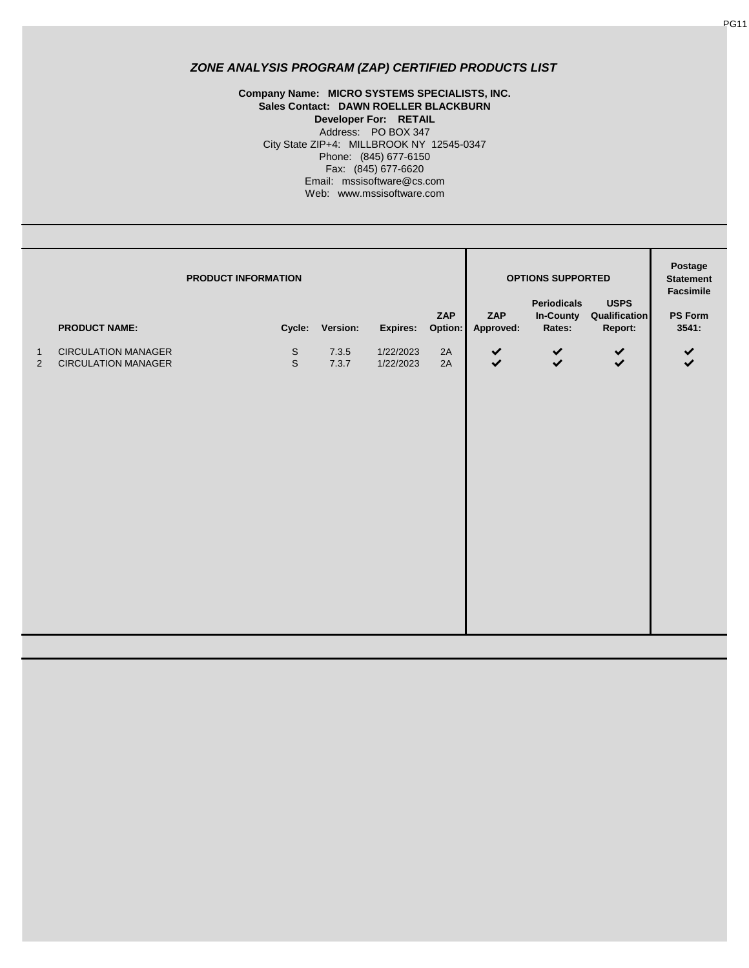#### **Company Name: MICRO SYSTEMS SPECIALISTS, INC. Sales Contact: DAWN ROELLER BLACKBURN Developer For: RETAIL** Fax: (845) 677-6620 Email: mssisoftware@cs.com Web: www.mssisoftware.com Address: PO BOX 347 City State ZIP+4: MILLBROOK NY 12545-0347 Phone: (845) 677-6150

|              | <b>PRODUCT INFORMATION</b>                         |             |                          |                       | ZAP           | ZAP          | OPTIONS SUPPORTED<br><b>Periodicals</b> | <b>USPS</b><br>In-County Qualification | Postage<br><b>Statement</b><br>Facsimile<br><b>PS Form</b> |
|--------------|----------------------------------------------------|-------------|--------------------------|-----------------------|---------------|--------------|-----------------------------------------|----------------------------------------|------------------------------------------------------------|
| $\mathbf{1}$ | <b>PRODUCT NAME:</b><br><b>CIRCULATION MANAGER</b> | $\mathsf S$ | Cycle: Version:<br>7.3.5 | Expires:<br>1/22/2023 | Option:<br>2A | Approved:    | Rates:<br>$\checkmark$                  | Report:                                | 3541:<br>$\checkmark$                                      |
| $\sqrt{2}$   | <b>CIRCULATION MANAGER</b>                         | $\mathbb S$ | 7.3.7                    | 1/22/2023             | 2A            | $\checkmark$ | $\checkmark$                            | $\checkmark$                           |                                                            |
|              |                                                    |             |                          |                       |               |              |                                         |                                        |                                                            |
|              |                                                    |             |                          |                       |               |              |                                         |                                        |                                                            |

PG11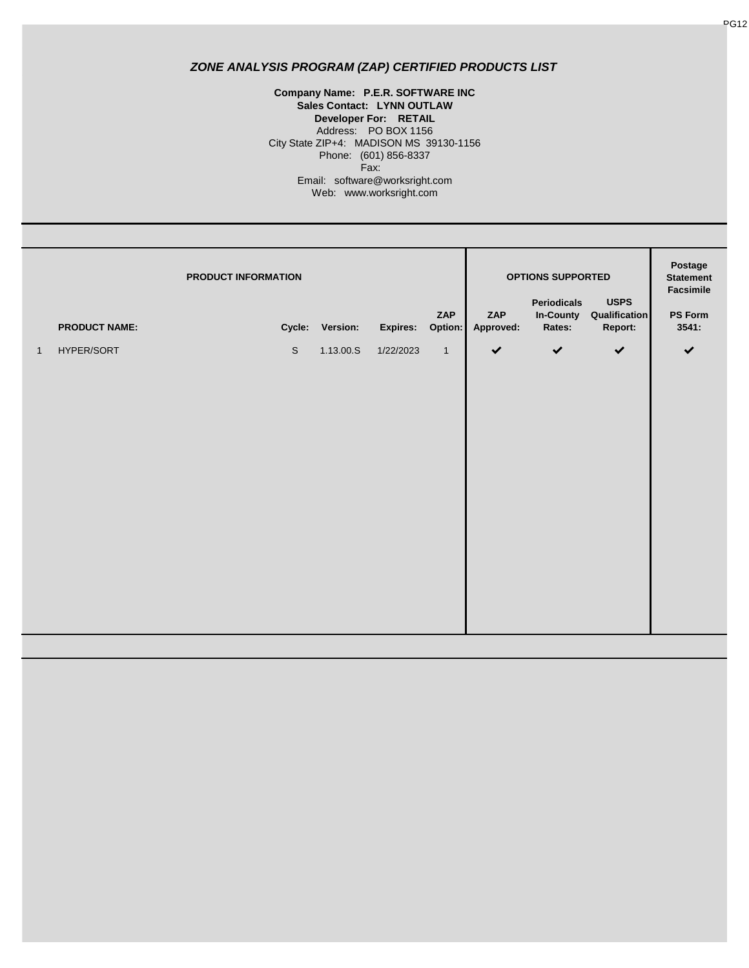**Company Name: P.E.R. SOFTWARE INC Sales Contact: LYNN OUTLAW Developer For: RETAIL** Address: PO BOX 1156 Fax: City State ZIP+4: MADISON MS 39130-1156 Phone: (601) 856-8337 Email: software@worksright.com Web: www.worksright.com

|              | <b>PRODUCT NAME:</b> | PRODUCT INFORMATION |             | Cycle: Version: | Expires: Option: | ZAP            | ZAP<br>Approved: | <b>OPTIONS SUPPORTED</b><br>Periodicals<br><b>In-County</b><br>Rates: | <b>USPS</b><br>Qualification<br>Report: | Postage<br><b>Statement</b><br>Facsimile<br>PS Form<br>3541: |
|--------------|----------------------|---------------------|-------------|-----------------|------------------|----------------|------------------|-----------------------------------------------------------------------|-----------------------------------------|--------------------------------------------------------------|
| $\mathbf{1}$ | HYPER/SORT           |                     | $\mathbb S$ | 1.13.00.S       | 1/22/2023        | $\overline{1}$ | $\checkmark$     | $\checkmark$                                                          | $\checkmark$                            | $\checkmark$                                                 |
|              |                      |                     |             |                 |                  |                |                  |                                                                       |                                         |                                                              |
|              |                      |                     |             |                 |                  |                |                  |                                                                       |                                         |                                                              |
|              |                      |                     |             |                 |                  |                |                  |                                                                       |                                         |                                                              |
|              |                      |                     |             |                 |                  |                |                  |                                                                       |                                         |                                                              |
|              |                      |                     |             |                 |                  |                |                  |                                                                       |                                         |                                                              |
|              |                      |                     |             |                 |                  |                |                  |                                                                       |                                         |                                                              |
|              |                      |                     |             |                 |                  |                |                  |                                                                       |                                         |                                                              |
|              |                      |                     |             |                 |                  |                |                  |                                                                       |                                         |                                                              |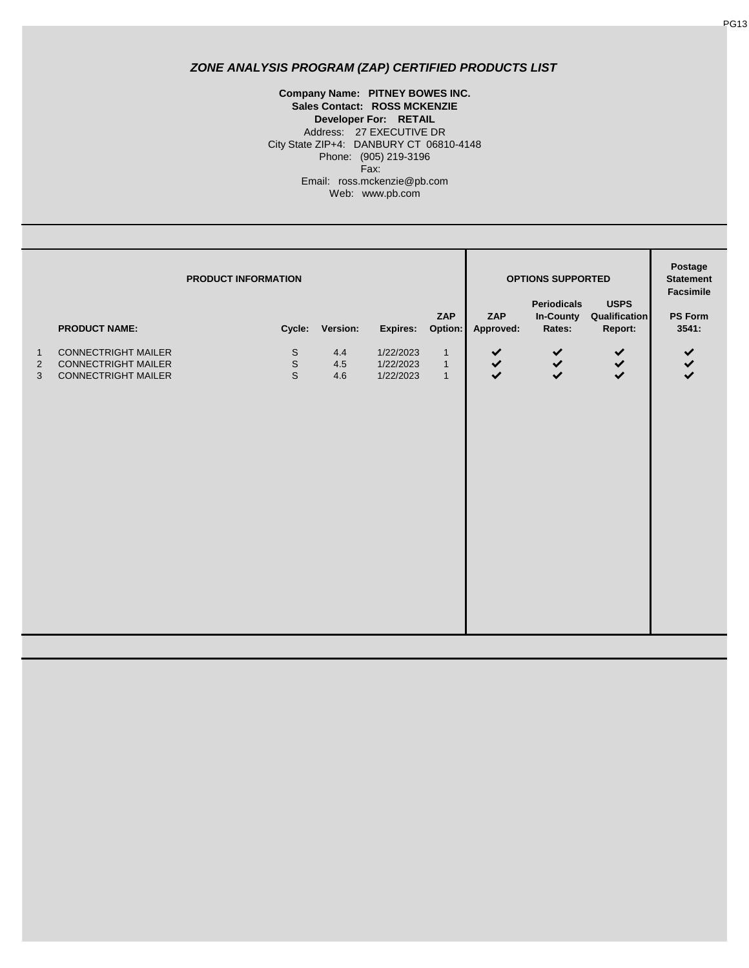**Sales Contact: ROSS MCKENZIE** Web: www.pb.com Phone: (905) 219-3196 Fax: Email: ross.mckenzie@pb.com Address: 27 EXECUTIVE DR City State ZIP+4: DANBURY CT 06810-4148 **Company Name: PITNEY BOWES INC. Developer For: RETAIL**

|                                     | PRODUCT INFORMATION<br>ZAP<br><b>PRODUCT NAME:</b><br>Cycle: Version:<br>Expires:<br>Option: |                                                   |                       |                                     |                                                  | OPTIONS SUPPORTED<br><b>Periodicals</b><br><b>USPS</b><br>ZAP<br>Qualification<br>In-County<br>Approved:<br>Rates:<br>Report: |                              |     | Postage<br><b>Statement</b><br>Facsimile<br><b>PS Form</b><br>3541: |
|-------------------------------------|----------------------------------------------------------------------------------------------|---------------------------------------------------|-----------------------|-------------------------------------|--------------------------------------------------|-------------------------------------------------------------------------------------------------------------------------------|------------------------------|-----|---------------------------------------------------------------------|
| $\mathbf{1}$<br>$\overline{2}$<br>3 | <b>CONNECTRIGHT MAILER</b><br><b>CONNECTRIGHT MAILER</b><br><b>CONNECTRIGHT MAILER</b>       | $\mathsf S$<br>$\mbox{\textsf{S}}$<br>$\mathsf S$ | 4.4<br>$4.5\,$<br>4.6 | 1/22/2023<br>1/22/2023<br>1/22/2023 | $\mathbf{1}$<br>$\overline{1}$<br>$\overline{1}$ | 222                                                                                                                           | $\checkmark$<br>$\checkmark$ | 222 | $\checkmark$<br>$\checkmark$                                        |
|                                     |                                                                                              |                                                   |                       |                                     |                                                  |                                                                                                                               |                              |     |                                                                     |
|                                     |                                                                                              |                                                   |                       |                                     |                                                  |                                                                                                                               |                              |     |                                                                     |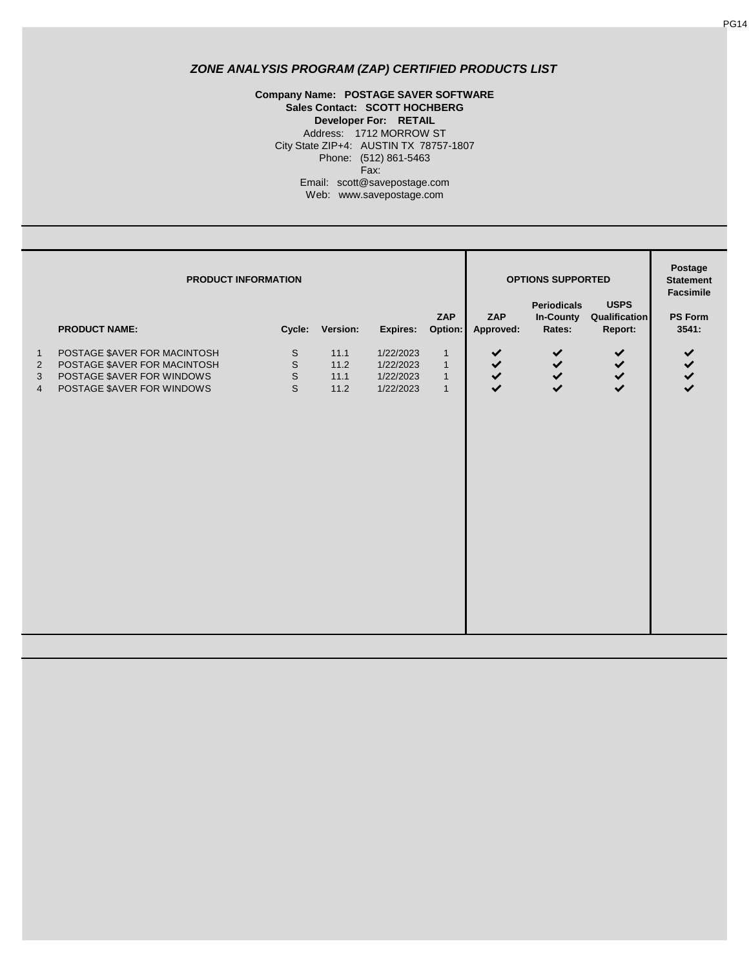#### Phone: (512) 861-5463 Fax: **Developer For: RETAIL** Address: 1712 MORROW ST City State ZIP+4: AUSTIN TX 78757-1807 **Company Name: POSTAGE SAVER SOFTWARE Sales Contact: SCOTT HOCHBERG**

Email: scott@savepostage.com

Web: www.savepostage.com

| <b>PRODUCT INFORMATION</b>                                         |                                                                                                                          |                                                           |                              |                                                  |                                                              |                     | <b>OPTIONS SUPPORTED</b><br><b>USPS</b><br><b>Periodicals</b> |                          |                         |  |
|--------------------------------------------------------------------|--------------------------------------------------------------------------------------------------------------------------|-----------------------------------------------------------|------------------------------|--------------------------------------------------|--------------------------------------------------------------|---------------------|---------------------------------------------------------------|--------------------------|-------------------------|--|
|                                                                    | <b>PRODUCT NAME:</b>                                                                                                     |                                                           | Cycle: Version:              | Expires:                                         | ZAP<br>Option:                                               | ZAP<br>Approved:    | <b>In-County</b><br>Rates:                                    | Qualification<br>Report: | <b>PS Form</b><br>3541: |  |
| $\mathbf{1}$<br>$\overline{2}$<br>$\mathfrak{S}$<br>$\overline{4}$ | POSTAGE \$AVER FOR MACINTOSH<br>POSTAGE \$AVER FOR MACINTOSH<br>POSTAGE \$AVER FOR WINDOWS<br>POSTAGE \$AVER FOR WINDOWS | $\mathbb S$<br>$\mathbb S$<br>$\mathbb S$<br>$\mathsf{S}$ | 11.1<br>11.2<br>11.1<br>11.2 | 1/22/2023<br>1/22/2023<br>1/22/2023<br>1/22/2023 | $\mathbf{1}$<br>$\mathbf{1}$<br>$\mathbf{1}$<br>$\mathbf{1}$ | $\checkmark$<br>222 | $\checkmark$<br>$\checkmark$<br>$\checkmark$<br>$\checkmark$  | $\checkmark$<br>222      | $\checkmark$<br>222     |  |
|                                                                    |                                                                                                                          |                                                           |                              |                                                  |                                                              |                     |                                                               |                          |                         |  |
|                                                                    |                                                                                                                          |                                                           |                              |                                                  |                                                              |                     |                                                               |                          |                         |  |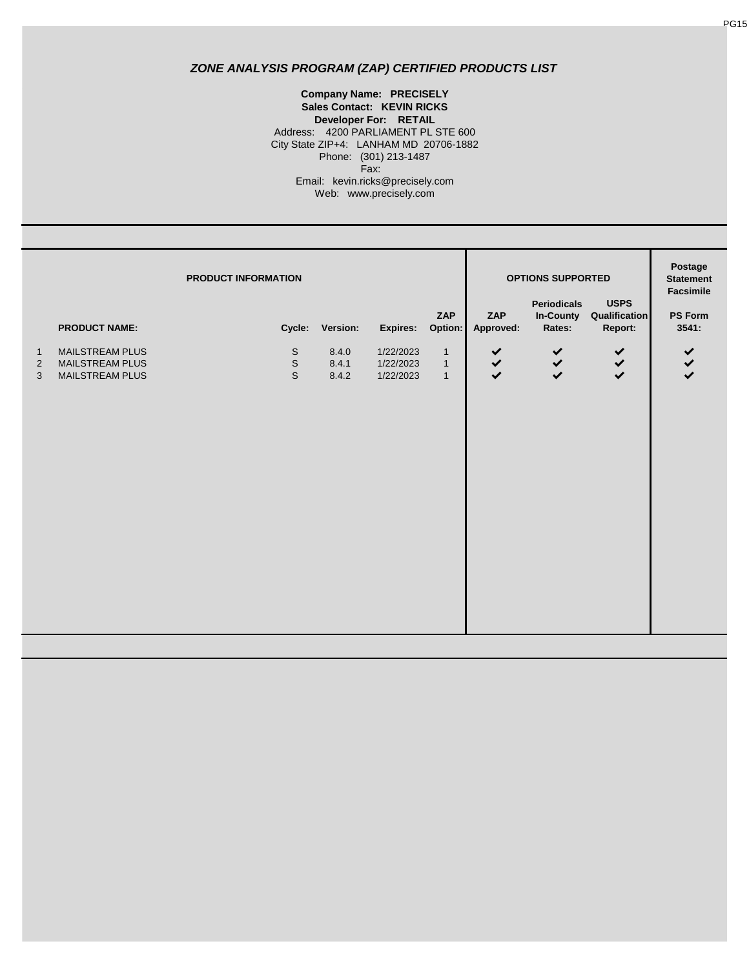Web: www.precisely.com **Company Name: PRECISELY Sales Contact: KEVIN RICKS Developer For: RETAIL** Address: 4200 PARLIAMENT PL STE 600 City State ZIP+4: LANHAM MD 20706-1882 Phone: (301) 213-1487 Fax: Email: kevin.ricks@precisely.com

|                                     | PRODUCT INFORMATION<br>ZAP                                                    |  |                                           |                                            |                                                 |                                                         | <b>OPTIONS SUPPORTED</b><br>ZAP           | Postage<br><b>Statement</b><br>Facsimile<br>PS Form |                |                                       |
|-------------------------------------|-------------------------------------------------------------------------------|--|-------------------------------------------|--------------------------------------------|-------------------------------------------------|---------------------------------------------------------|-------------------------------------------|-----------------------------------------------------|----------------|---------------------------------------|
| $\mathbf{1}$<br>$\overline{2}$<br>3 | <b>PRODUCT NAME:</b><br>MAILSTREAM PLUS<br>MAILSTREAM PLUS<br>MAILSTREAM PLUS |  | $\mathbb S$<br>$\mathsf S$<br>$\mathbb S$ | Cycle: Version:<br>8.4.0<br>8.4.1<br>8.4.2 | Expires:<br>1/22/2023<br>1/22/2023<br>1/22/2023 | Option:<br>$\mathbf{1}$<br>$\mathbf{1}$<br>$\mathbf{1}$ | Approved:<br>$\checkmark$<br>$\checkmark$ | Rates:<br>$\checkmark$<br>$\checkmark$              | Report:<br>232 | 3541:<br>$\checkmark$<br>$\checkmark$ |
|                                     |                                                                               |  |                                           |                                            |                                                 |                                                         |                                           |                                                     |                |                                       |
|                                     |                                                                               |  |                                           |                                            |                                                 |                                                         |                                           |                                                     |                |                                       |
|                                     |                                                                               |  |                                           |                                            |                                                 |                                                         |                                           |                                                     |                |                                       |
|                                     |                                                                               |  |                                           |                                            |                                                 |                                                         |                                           |                                                     |                |                                       |